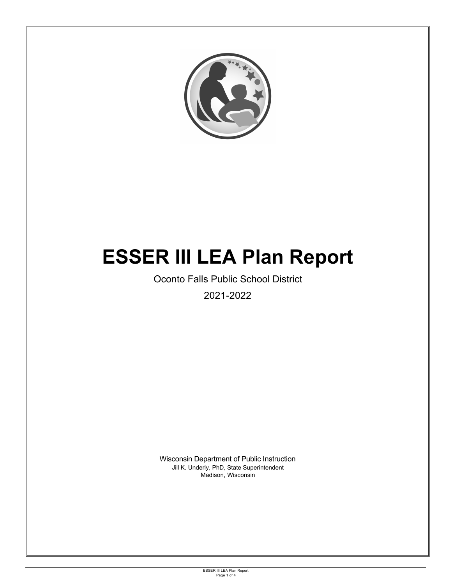

ESSER III LEA Plan Report Page 1 of 4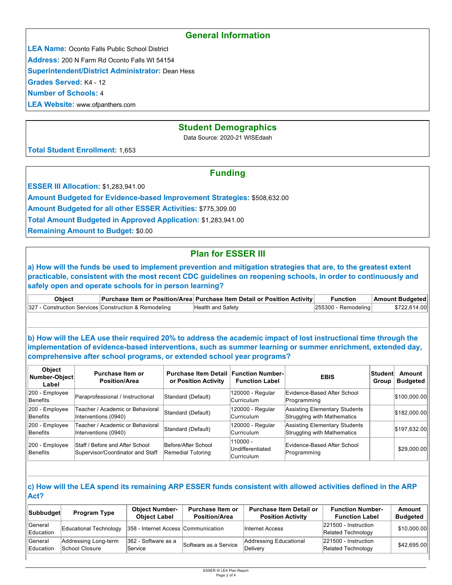## **General Information**

**LEA Name:** Oconto Falls Public School District

**Address:** 200 N Farm Rd Oconto Falls WI 54154

**Superintendent/District Administrator:** Dean Hess

**Grades Served:** K4 - 12

**Number of Schools:** 4

**LEA Website:** www.ofpanthers.com

## **Student Demographics**

Data Source: 2020-21 WISEdash

**Total Student Enrollment:** 1,653

## **Funding**

**ESSER III Allocation: \$1,283,941.00** 

**Amount Budgeted for Evidence-based Improvement Strategies:** \$508,632.00

**Amount Budgeted for all other ESSER Activities:** \$775,309.00

**Total Amount Budgeted in Approved Application:** \$1,283,941.00

**Remaining Amount to Budget:** \$0.00

# **Plan for ESSER III**

**a) How will the funds be used to implement prevention and mitigation strategies that are, to the greatest extent practicable, consistent with the most recent CDC guidelines on reopening schools, in order to continuously and safely open and operate schools for in person learning?**

| Obiect |                                                       | Purchase Item or Position/Area Purchase Item Detail or Position Activity | <b>Function</b>        | <b>Amount Budgeted</b> |
|--------|-------------------------------------------------------|--------------------------------------------------------------------------|------------------------|------------------------|
|        | 327 - Construction Services Construction & Remodeling | Health and Safety                                                        | $ 255300 -$ Remodeling | \$722,614.00           |

**b) How will the LEA use their required 20% to address the academic impact of lost instructional time through the implementation of evidence-based interventions, such as summer learning or summer enrichment, extended day, comprehensive after school programs, or extended school year programs?**

| <b>Object</b><br>Number-Object<br>Label | Purchase Item or<br><b>Position/Area</b>                            | <b>Purchase Item Detail Function Number-</b><br>or Position Activity | <b>Function Label</b>                             | <b>EBIS</b>                                                         | <b>Student</b><br>Group | Amount<br><b>Budgeted</b> |
|-----------------------------------------|---------------------------------------------------------------------|----------------------------------------------------------------------|---------------------------------------------------|---------------------------------------------------------------------|-------------------------|---------------------------|
| 200 - Employee<br>Benefits              | Paraprofessional / Instructional                                    | Standard (Default)                                                   | 120000 - Regular<br>Curriculum                    | Evidence-Based After School<br>Programming                          |                         | \$100,000.00              |
| 200 - Employee<br>Benefits              | Teacher / Academic or Behavioral<br>Interventions (0940)            | Standard (Default)                                                   | 120000 - Regular<br>Curriculum                    | Assisting Elementary Students<br><b>Struggling with Mathematics</b> |                         | \$182,000.00              |
| 200 - Employee<br>Benefits              | Teacher / Academic or Behavioral<br>Interventions (0940)            | Standard (Default)                                                   | 120000 - Regular<br><b>Curriculum</b>             | Assisting Elementary Students<br>Struggling with Mathematics        |                         | \$197,632.00              |
| $ 200 -$ Employee<br>Benefits           | Staff / Before and After School<br>Supervisor/Coordinator and Staff | Before/After School<br>Remedial Tutoring                             | 110000 -<br>Undifferentiated<br><b>Curriculum</b> | Evidence-Based After School<br>Programming                          |                         | \$29,000.00               |

#### **c) How will the LEA spend its remaining ARP ESSER funds consistent with allowed activities defined in the ARP Act?**

| <b>Subbudget</b>     | <b>Program Type</b>                    | <b>Object Number-</b><br><b>Object Label</b> | <b>Purchase Item or</b><br><b>Position/Area</b> | <b>Purchase Item Detail or</b><br><b>Position Activity</b> | <b>Function Number-</b><br><b>Function Label</b> | Amount<br><b>Budgeted</b> |
|----------------------|----------------------------------------|----------------------------------------------|-------------------------------------------------|------------------------------------------------------------|--------------------------------------------------|---------------------------|
| General<br>Education | Educational Technology                 | 358 - Internet Access Communication          |                                                 | Internet Access                                            | 221500 - Instruction<br>Related Technology       | \$10,000.00               |
| General<br>Education | Addressing Long-term<br>School Closure | 362 - Software as a<br>Service               | Software as a Service                           | Addressing Educational<br>Deliverv                         | 221500 - Instruction<br>Related Technology       | \$42,695.00               |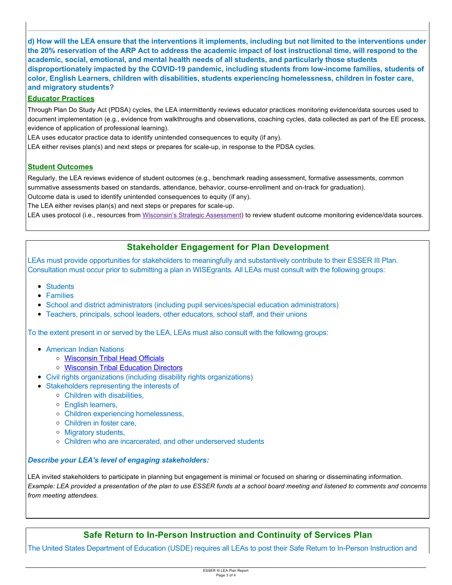**d) How will the LEA ensure that the interventions it implements, including but not limited to the interventions under the 20% reservation of the ARP Act to address the academic impact of lost instructional time, will respond to the academic, social, emotional, and mental health needs of all students, and particularly those students disproportionately impacted by the COVID-19 pandemic, including students from low-income families, students of color, English Learners, children with disabilities, students experiencing homelessness, children in foster care, and migratory students?**

### **Educator Practices**

Through Plan Do Study Act (PDSA) cycles, the LEA intermittently reviews educator practices monitoring evidence/data sources used to document implementation (e.g., evidence from walkthroughs and observations, coaching cycles, data collected as part of the EE process, evidence of application of professional learning).

LEA uses educator practice data to identify unintended consequences to equity (if any).

LEA either revises plan(s) and next steps or prepares for scale-up, in response to the PDSA cycles.

### **Student Outcomes**

Regularly, the LEA reviews evidence of student outcomes (e.g., benchmark reading assessment, formative assessments, common summative assessments based on standards, attendance, behavior, course-enrollment and on-track for graduation). Outcome data is used to identify unintended consequences to equity (if any).

The LEA either revises plan(s) and next steps or prepares for scale-up.

LEA uses protocol (i.e., resources from Wisconsin's Strategic Assessment) to review student outcome monitoring evidence/data sources.

## **Stakeholder Engagement for Plan Development**

LEAs must provide opportunities for stakeholders to meaningfully and substantively contribute to their ESSER III Plan. Consultation must occur prior to submitting a plan in WISEgrants. All LEAs must consult with the following groups:

- Students
- Families
- School and district administrators (including pupil services/special education administrators)
- Teachers, principals, school leaders, other educators, school staff, and their unions

To the extent present in or served by the LEA, LEAs must also consult with the following groups:

- American Indian Nations
	- [Wisconsin Tribal Head Officials](http://witribes.wi.gov/docview.asp?docid=19085&locid=57)
	- [Wisconsin Tribal Education Directors](https://wiea.net/about-wiea/wisconsin-tribal-education-directors/)
- Civil rights organizations (including disability rights organizations)
- Stakeholders representing the interests of
	- Children with disabilities,
	- English learners,
	- Children experiencing homelessness,
	- Children in foster care,
	- Migratory students,
	- Children who are incarcerated, and other underserved students

### *Describe your LEA's level of engaging stakeholders:*

LEA invited stakeholders to participate in planning but engagement is minimal or focused on sharing or disseminating information. *Example: LEA provided a presentation of the plan to use ESSER funds at a school board meeting and listened to comments and concerns from meeting attendees.*

# **Safe Return to In-Person Instruction and Continuity of Services Plan**

The United States Department of Education (USDE) requires all LEAs to post their Safe Return to In-Person Instruction and